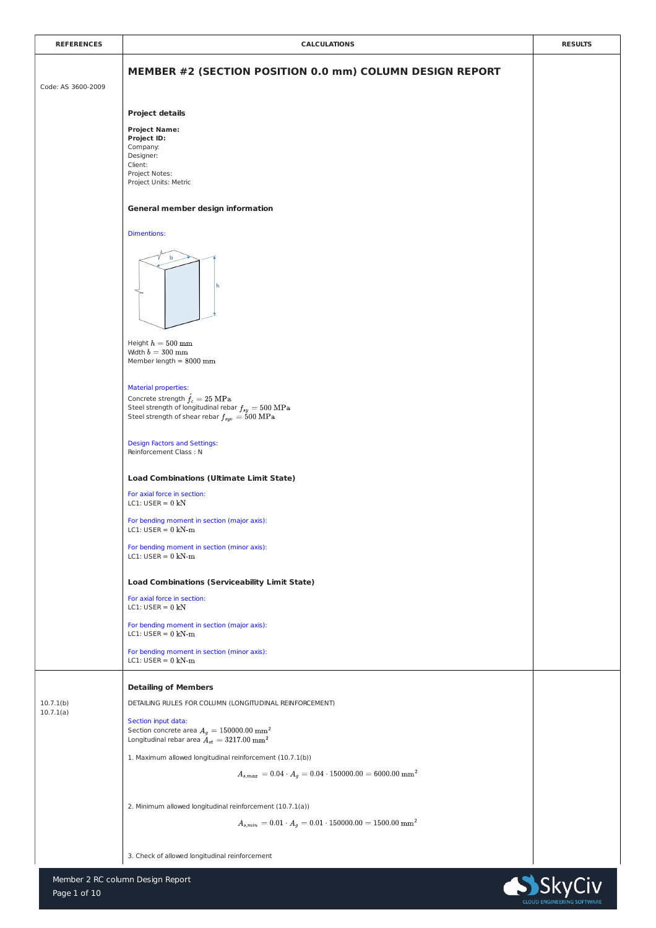





| <b>REFERENCES</b>  | <b>CALCULATIONS</b>                                                                                                                                                                                             | <b>RESULTS</b> |
|--------------------|-----------------------------------------------------------------------------------------------------------------------------------------------------------------------------------------------------------------|----------------|
| Code: AS 3600-2009 | MEMBER #2 (SECTION POSITION 0.0 mm) COLUMN DESIGN REPORT                                                                                                                                                        |                |
|                    | <b>Project details</b>                                                                                                                                                                                          |                |
|                    | <b>Project Name:</b><br><b>Project ID:</b><br>Company:<br>Designer:<br>Client:<br>Project Notes:<br>Project Units: Metric                                                                                       |                |
|                    | <b>General member design information</b>                                                                                                                                                                        |                |
|                    | <b>Dimentions:</b>                                                                                                                                                                                              |                |
|                    | b<br>l h                                                                                                                                                                                                        |                |
|                    | Height $h=500\ \mathrm{mm}$<br>Width $b=300$ mm<br>Member length $= 8000$ mm                                                                                                                                    |                |
|                    | <b>Material properties:</b><br>Concrete strength $\acute{f}_c = 25 \text{ MPa}$<br>Steel strength of longitudinal rebar $f_{sy} = 500 \text{ MPa}$<br>Steel strength of shear rebar $f_{syn} = 500 \text{ MPa}$ |                |

|                        | <b>Design Factors and Settings:</b><br><b>Reinforcement Class: N</b>                                                                    |  |
|------------------------|-----------------------------------------------------------------------------------------------------------------------------------------|--|
|                        | <b>Load Combinations (Ultimate Limit State)</b>                                                                                         |  |
|                        | For axial force in section:<br>LC1: USER = $0$ kN                                                                                       |  |
|                        | For bending moment in section (major axis):<br>LC1: USER = $0$ kN-m                                                                     |  |
|                        | For bending moment in section (minor axis):<br>LC1: USER = $0$ kN-m                                                                     |  |
|                        | <b>Load Combinations (Serviceability Limit State)</b>                                                                                   |  |
|                        | For axial force in section:<br>LC1: USER = $0$ kN                                                                                       |  |
|                        | For bending moment in section (major axis):<br>LC1: USER = $0 \text{ kN-m}$                                                             |  |
|                        | For bending moment in section (minor axis):<br>LC1: USER = $0$ kN-m                                                                     |  |
|                        | <b>Detailing of Members</b>                                                                                                             |  |
| 10.7.1(b)<br>10.7.1(a) | DETAILING RULES FOR COLUMN (LONGITUDINAL REINFORCEMENT)                                                                                 |  |
|                        | Section input data:<br>Section concrete area $A_g = 150000.00~\mathrm{mm}^2$<br>Longitudinal rebar area $A_{st} = 3217.00 \text{ mm}^2$ |  |
|                        | 1. Maximum allowed longitudinal reinforcement (10.7.1(b))                                                                               |  |
|                        | $A_{s,max} = 0.04 \cdot A_q = 0.04 \cdot 150000.00 = 6000.00 \text{ mm}^2$                                                              |  |
|                        | 2. Minimum allowed longitudinal reinforcement (10.7.1(a))                                                                               |  |
|                        | $A_{s,min}\, = 0.01 \cdot A_g = 0.01 \cdot 150000.00 = 1500.00 \text{ mm}^2$                                                            |  |
|                        | 3. Check of allowed longitudinal reinforcement                                                                                          |  |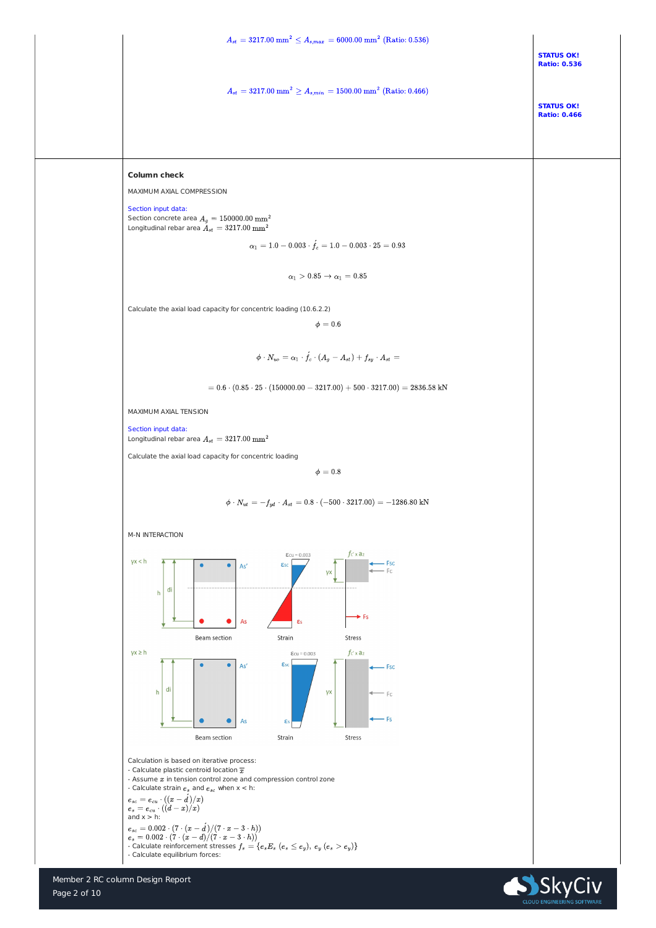Member 2 RC column Design Report



| $A_{st} = 3217.00 \text{ mm}^2 \le A_{s,max} = 6000.00 \text{ mm}^2 \text{ (Ratio: } 0.536)$                                                 |                                          |  |
|----------------------------------------------------------------------------------------------------------------------------------------------|------------------------------------------|--|
|                                                                                                                                              | <b>STATUS OK!</b><br><b>Ratio: 0.536</b> |  |
| $A_{st} = 3217.00 \ \mathrm{mm}^2 \geq A_{s,min} = 1500.00 \ \mathrm{mm}^2 \ \mathrm{(Ratio: 0.466)}$                                        | <b>STATUS OK!</b><br><b>Ratio: 0.466</b> |  |
|                                                                                                                                              |                                          |  |
| <b>Column check</b>                                                                                                                          |                                          |  |
| MAXIMUM AXIAL COMPRESSION                                                                                                                    |                                          |  |
| Section input data:<br>Section concrete area $A_g = 150000.00 \ \mathrm{mm}^2$<br>Longitudinal rebar area $A_{st} = 3217.00 \ \mathrm{mm}^2$ |                                          |  |
| $\alpha_1 = 1.0 - 0.003 \cdot \acute{f}_c = 1.0 - 0.003 \cdot 25 = 0.93$                                                                     |                                          |  |
| $\alpha_1 > 0.85 \rightarrow \alpha_1 = 0.85$                                                                                                |                                          |  |
| Calculate the axial load capacity for concentric loading (10.6.2.2)                                                                          |                                          |  |
| $\phi=0.6$                                                                                                                                   |                                          |  |
| $\phi \cdot N_{uo} = \alpha_1 \cdot \acute{f_c} \cdot \left(A_g-A_{st}\right)+f_{sy} \cdot A_{st} = 0$                                       |                                          |  |
| $\tau = 0.6 \cdot (0.85 \cdot 25 \cdot (150000.00 - 3217.00) + 500 \cdot 3217.00) = 2836.58$ kN                                              |                                          |  |
| MAXIMUM AXIAL TENSION                                                                                                                        |                                          |  |
| Section input data:<br>Longitudinal rebar area $A_{st} = 3217.00 \text{ mm}^2$                                                               |                                          |  |

Calculate the axial load capacity for concentric loading

 $\phi=0.8$ 

$$
\phi \cdot N_{ut} \, = - f_{yd} \cdot A_{st} \, = 0.8 \cdot (-500 \cdot 3217.00) = -1286.80 \text{ kN}
$$

M-N INTERACTION



Calculation is based on iterative process:

- Calculate plastic centroid location  $\overline{x}$ 

- Assume  $x$  in tension control zone and compression control zone
- Calculate strain  $e_s$  and  $e_{sc}$  when  $x < h$ :

$$
e_{sc} = e_{cu} \cdot ((x - d)/x)
$$
  
\n
$$
e_s = e_{cu} \cdot ((d - x)/x)
$$
  
\nand x > h:  
\n
$$
e_{sc} = 0.002 \cdot (7 \cdot (x - d)/(7 \cdot x - 3 \cdot h))
$$
  
\n
$$
e_s = 0.002 \cdot (7 \cdot (x - d)/(7 \cdot x - 3 \cdot h))
$$
  
\n- Calculate reinforcement stresses  $f_s = \{e_s E_s \ (e_s \le e_y), \ e_y \ (e_s > e_y)\}$   
\n- Calculate equilibrium forces:

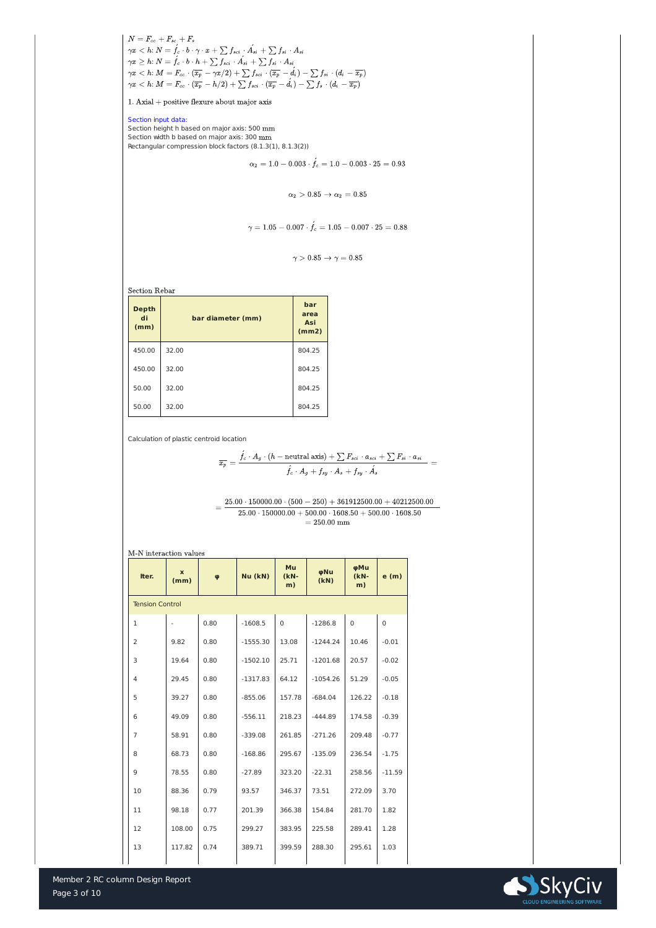$\left\{ \begin{array}{l} N=F_{cc}+F_{sc}+F_s\ \gamma x < h\colon N=\overset{\cdot}{f_c}\cdot b\cdot \gamma \cdot x+\sum f_{sci}\cdot \acute{A_{si}}+\sum f_{si}\cdot A_{si}\ \gamma x \geq h\colon N=\overset{\cdot}{f_c}\cdot b\cdot h+\sum f_{sci}\cdot \acute{A_{si}}+\sum f_{si}\cdot A_{si}\ \gamma x < h\colon M=F_{cc}\cdot (\overline{x_p}-\gamma x/2)+\sum f_{sci}\cdot (\overline{x_p}-\acute{d_i})-\sum f_{si}\cdot (d_i-\overline{x_p})\ \gamma x < h\colon M=F_{cc}\cdot (\overline{x_p}-h/2)+\sum f_{sci}\cdot (\overline{x$ 

 $1.$  Axial + positive flexure about major axis

Member 2 RC column Design Report



Section input data: Section height h based on major axis: 500 mm Section width b based on major axis: 300 mm Rectangular compression block factors (8.1.3(1), 8.1.3(2))

$$
\alpha_2 = 1.0 - 0.003 \cdot f_c = 1.0 - 0.003 \cdot 25 = 0.93
$$

 $\alpha_2 > 0.85 \rightarrow \alpha_2 = 0.85$ 

$$
\gamma=1.05-0.007\cdot \acute{f_c}=1.05-0.007\cdot 25=0.88
$$

$$
\gamma > 0.85 \rightarrow \gamma = 0.85
$$

**Section Rebar** 

| <b>Depth</b><br>di<br>(mm) | bar diameter (mm) | bar<br>area<br><b>Asi</b><br>(mm2) |
|----------------------------|-------------------|------------------------------------|
| 450.00                     | 32.00             | 804.25                             |
| 450.00                     | 32.00             | 804.25                             |
| 50.00                      | 32.00             | 804.25                             |
| 50.00                      | 32.00             | 804.25                             |

Calculation of plastic centroid location

$$
\overline{x_p} = \frac{\acute{f_c}\cdot A_g\cdot (h - \text{neutral axis}) + \sum F_{sci}\cdot a_{sci} + \sum F_{si}\cdot a_{si}}{\acute{f_c}\cdot A_g + f_{sy}\cdot A_s + f_{sy}\cdot \acute{A_s}} =
$$

 $25.00 \cdot 150000.00 \cdot (500 - 250) + 361912500.00 + 40212500.00$  $\, = \,$  $25.00 \cdot 150000.00 + 500.00 \cdot 1608.50 + 500.00 \cdot 1608.50$  $=250.00$  mm

M-N interaction values

| Iter.                  | $\mathbf x$<br>(mm) | $\boldsymbol{\varphi}$ | Nu (kN)    | Mu<br>$(kN-$<br>m) | φNu<br>(KN) | φMu<br>$(KN -$<br>m) | e(m)           |
|------------------------|---------------------|------------------------|------------|--------------------|-------------|----------------------|----------------|
| <b>Tension Control</b> |                     |                        |            |                    |             |                      |                |
| $\mathbf 1$            |                     | 0.80                   | $-1608.5$  | $\overline{0}$     | $-1286.8$   | $\overline{0}$       | $\overline{0}$ |
| $\overline{2}$         | 9.82                | 0.80                   | $-1555.30$ | 13.08              | $-1244.24$  | 10.46                | $-0.01$        |
| 3                      | 19.64               | 0.80                   | $-1502.10$ | 25.71              | $-1201.68$  | 20.57                | $-0.02$        |
| $\overline{4}$         | 29.45               | 0.80                   | $-1317.83$ | 64.12              | $-1054.26$  | 51.29                | $-0.05$        |
| 5                      | 39.27               | 0.80                   | $-855.06$  | 157.78             | $-684.04$   | 126.22               | $-0.18$        |
| 6                      | 49.09               | 0.80                   | $-556.11$  | 218.23             | $-444.89$   | 174.58               | $-0.39$        |
| 7                      | 58.91               | 0.80                   | $-339.08$  | 261.85             | $-271.26$   | 209.48               | $-0.77$        |
| 8                      | 68.73               | 0.80                   | $-168.86$  | 295.67             | $-135.09$   | 236.54               | $-1.75$        |
| 9                      | 78.55               | 0.80                   | $-27.89$   | 323.20             | $-22.31$    | 258.56               | $-11.59$       |
| 10                     | 88.36               | 0.79                   | 93.57      | 346.37             | 73.51       | 272.09               | 3.70           |
| 11                     | 98.18               | 0.77                   | 201.39     | 366.38             | 154.84      | 281.70               | 1.82           |
| 12                     | 108.00              | 0.75                   | 299.27     | 383.95             | 225.58      | 289.41               | 1.28           |
| 13                     | 117.82              | 0.74                   | 389.71     | 399.59             | 288.30      | 295.61               | 1.03           |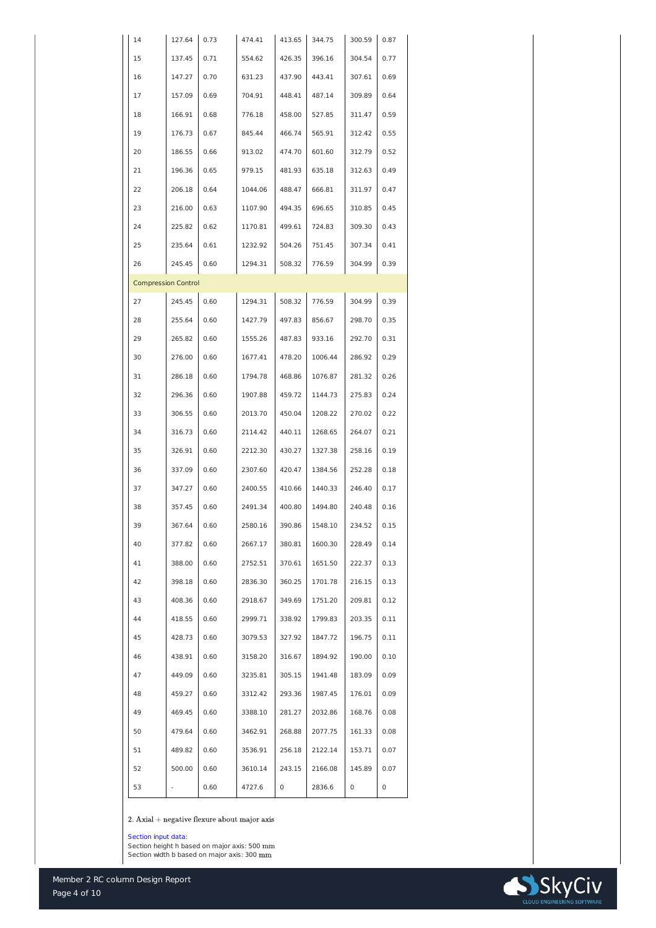

| 14                         | 127.64 | 0.73 | 474.41  | 413.65         | 344.75  | 300.59      | 0.87           |
|----------------------------|--------|------|---------|----------------|---------|-------------|----------------|
| 15                         | 137.45 | 0.71 | 554.62  | 426.35         | 396.16  | 304.54      | 0.77           |
| 16                         | 147.27 | 0.70 | 631.23  | 437.90         | 443.41  | 307.61      | 0.69           |
| 17                         | 157.09 | 0.69 | 704.91  | 448.41         | 487.14  | 309.89      | 0.64           |
| 18                         | 166.91 | 0.68 | 776.18  | 458.00         | 527.85  | 311.47      | 0.59           |
| 19                         | 176.73 | 0.67 | 845.44  | 466.74         | 565.91  | 312.42      | 0.55           |
| 20                         | 186.55 | 0.66 | 913.02  | 474.70         | 601.60  | 312.79      | 0.52           |
| 21                         | 196.36 | 0.65 | 979.15  | 481.93         | 635.18  | 312.63      | 0.49           |
| 22                         | 206.18 | 0.64 | 1044.06 | 488.47         | 666.81  | 311.97      | 0.47           |
| 23                         | 216.00 | 0.63 | 1107.90 | 494.35         | 696.65  | 310.85      | 0.45           |
| 24                         | 225.82 | 0.62 | 1170.81 | 499.61         | 724.83  | 309.30      | 0.43           |
| 25                         | 235.64 | 0.61 | 1232.92 | 504.26         | 751.45  | 307.34      | 0.41           |
| 26                         | 245.45 | 0.60 | 1294.31 | 508.32         | 776.59  | 304.99      | 0.39           |
| <b>Compression Control</b> |        |      |         |                |         |             |                |
| 27                         | 245.45 | 0.60 | 1294.31 | 508.32         | 776.59  | 304.99      | 0.39           |
| 28                         | 255.64 | 0.60 | 1427.79 | 497.83         | 856.67  | 298.70      | 0.35           |
| 29                         | 265.82 | 0.60 | 1555.26 | 487.83         | 933.16  | 292.70      | 0.31           |
| 30                         | 276.00 | 0.60 | 1677.41 | 478.20         | 1006.44 | 286.92      | 0.29           |
| 31                         | 286.18 | 0.60 | 1794.78 | 468.86         | 1076.87 | 281.32      | 0.26           |
| 32                         | 296.36 | 0.60 | 1907.88 | 459.72         | 1144.73 | 275.83      | 0.24           |
| 33                         | 306.55 | 0.60 | 2013.70 | 450.04         | 1208.22 | 270.02      | 0.22           |
| 34                         | 316.73 | 0.60 | 2114.42 | 440.11         | 1268.65 | 264.07      | 0.21           |
| 35                         | 326.91 | 0.60 | 2212.30 | 430.27         | 1327.38 | 258.16      | 0.19           |
| 36                         | 337.09 | 0.60 | 2307.60 | 420.47         | 1384.56 | 252.28      | 0.18           |
| 37                         | 347.27 | 0.60 | 2400.55 | 410.66         | 1440.33 | 246.40      | 0.17           |
| 38                         | 357.45 | 0.60 | 2491.34 | 400.80         | 1494.80 | 240.48      | 0.16           |
| 39                         | 367.64 | 0.60 | 2580.16 | 390.86         | 1548.10 | 234.52      | 0.15           |
| 40                         | 377.82 | 0.60 | 2667.17 | 380.81         | 1600.30 | 228.49      | 0.14           |
| 41                         | 388.00 | 0.60 | 2752.51 | 370.61         | 1651.50 | 222.37      | 0.13           |
| 42                         | 398.18 | 0.60 | 2836.30 | 360.25         | 1701.78 | 216.15      | 0.13           |
| 43                         | 408.36 | 0.60 | 2918.67 | 349.69         | 1751.20 | 209.81      | 0.12           |
| 44                         | 418.55 | 0.60 | 2999.71 | 338.92         | 1799.83 | 203.35      | 0.11           |
| 45                         | 428.73 | 0.60 | 3079.53 | 327.92         | 1847.72 | 196.75      | 0.11           |
| 46                         | 438.91 | 0.60 | 3158.20 | 316.67         | 1894.92 | 190.00      | 0.10           |
| 47                         | 449.09 | 0.60 | 3235.81 | 305.15         | 1941.48 | 183.09      | 0.09           |
| 48                         | 459.27 | 0.60 | 3312.42 | 293.36         | 1987.45 | 176.01      | 0.09           |
| 49                         | 469.45 | 0.60 | 3388.10 | 281.27         | 2032.86 | 168.76      | 0.08           |
| 50                         | 479.64 | 0.60 | 3462.91 | 268.88         | 2077.75 | 161.33      | 0.08           |
| 51                         | 489.82 | 0.60 | 3536.91 | 256.18         | 2122.14 | 153.71      | 0.07           |
| 52                         | 500.00 | 0.60 | 3610.14 | 243.15         | 2166.08 | 145.89      | 0.07           |
| 53                         |        | 0.60 | 4727.6  | $\overline{0}$ | 2836.6  | $\mathbf 0$ | $\overline{0}$ |

 $2.$  Axial + negative flexure about major axis

Section input data:

Section height h based on major axis: 500 mm Section width b based on major axis: 300 mm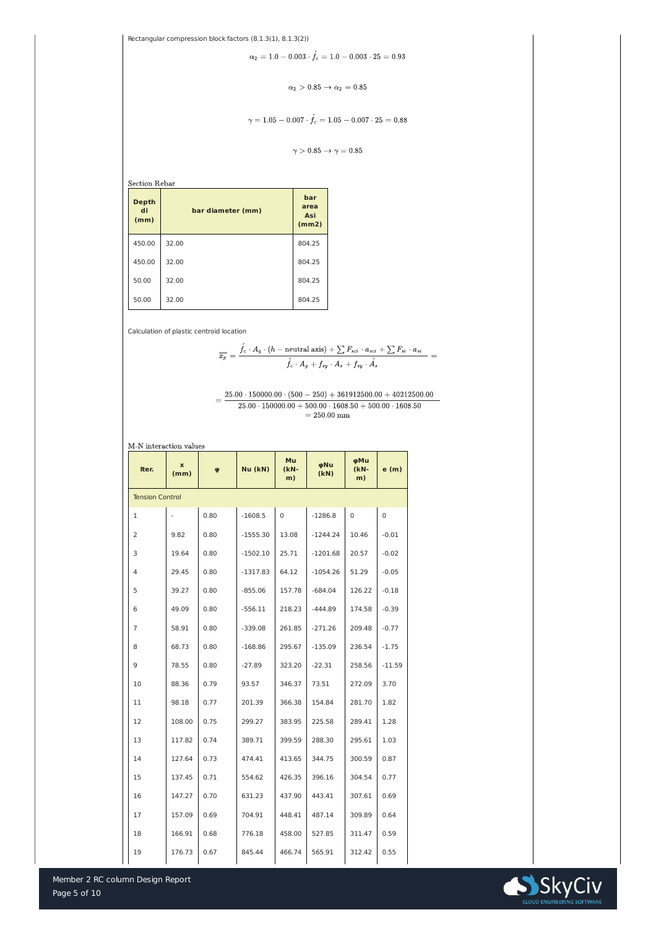Member 2 RC column Design Report



Rectangular compression block factors (8.1.3(1), 8.1.3(2))

$$
\alpha_2 = 1.0 - 0.003 \cdot \acute{f_c} = 1.0 - 0.003 \cdot 25 = 0.93
$$

$$
\alpha_2 > 0.85 \rightarrow \alpha_2 = 0.85
$$

$$
\gamma=1.05-0.007\cdot \acute{f}_c=1.05-0.007\cdot 25=0.88
$$

 $\gamma > 0.85 \rightarrow \gamma = 0.85$ 

Section Rebar

| <b>Depth</b><br>di<br>(mm) | bar diameter (mm) | bar<br>area<br><b>Asi</b><br>(mm2) |
|----------------------------|-------------------|------------------------------------|
| 450.00                     | 32.00             | 804.25                             |
| 450.00                     | 32.00             | 804.25                             |
| 50.00                      | 32.00             | 804.25                             |
| 50.00                      | 32.00             | 804.25                             |

Calculation of plastic centroid location

$$
\overline{x_p} = \frac{\acute{f_c}\cdot A_g\cdot (h - \text{neutral axis}) + \sum F_{sci}\cdot a_{sci} + \sum F_{si}\cdot a_{si}}{\acute{f_c}\cdot A_g + f_{sy}\cdot A_s + f_{sy}\cdot \hat{A_s}} =
$$

 $\alpha = \frac{25.00 \cdot 150000.00 \cdot (500 - 250) + 361912500.00 + 40212500.00}{25.00 \cdot 150000.00 + 500.00 \cdot 1608.50 + 500.00 \cdot 1608.50}$  $=250.00\;\mathrm{mm}$ 

| Iter.                  | $\mathbf{x}$<br>(mm) | $\boldsymbol{\varphi}$ | Nu (kN)    | Mu<br>$(kN-$<br>m) | φNu<br>(KN) | φMu<br>$(kN-$<br>m) | e(m)           |
|------------------------|----------------------|------------------------|------------|--------------------|-------------|---------------------|----------------|
| <b>Tension Control</b> |                      |                        |            |                    |             |                     |                |
| 1                      |                      | 0.80                   | $-1608.5$  | $\overline{0}$     | $-1286.8$   | $\overline{0}$      | $\overline{0}$ |
| $\overline{2}$         | 9.82                 | 0.80                   | $-1555.30$ | 13.08              | $-1244.24$  | 10.46               | $-0.01$        |
| 3                      | 19.64                | 0.80                   | $-1502.10$ | 25.71              | $-1201.68$  | 20.57               | $-0.02$        |
| $\overline{4}$         | 29.45                | 0.80                   | $-1317.83$ | 64.12              | $-1054.26$  | 51.29               | $-0.05$        |
| 5                      | 39.27                | 0.80                   | $-855.06$  | 157.78             | $-684.04$   | 126.22              | $-0.18$        |
| 6                      | 49.09                | 0.80                   | $-556.11$  | 218.23             | $-444.89$   | 174.58              | $-0.39$        |
| $\overline{7}$         | 58.91                | 0.80                   | $-339.08$  | 261.85             | $-271.26$   | 209.48              | $-0.77$        |
| 8                      | 68.73                | 0.80                   | $-168.86$  | 295.67             | $-135.09$   | 236.54              | $-1.75$        |
| 9                      | 78.55                | 0.80                   | $-27.89$   | 323.20             | $-22.31$    | 258.56              | $-11.59$       |
| 10                     | 88.36                | 0.79                   | 93.57      | 346.37             | 73.51       | 272.09              | 3.70           |
| 11                     | 98.18                | 0.77                   | 201.39     | 366.38             | 154.84      | 281.70              | 1.82           |
| 12                     | 108.00               | 0.75                   | 299.27     | 383.95             | 225.58      | 289.41              | 1.28           |
| 13                     | 117.82               | 0.74                   | 389.71     | 399.59             | 288.30      | 295.61              | 1.03           |
| 14                     | 127.64               | 0.73                   | 474.41     | 413.65             | 344.75      | 300.59              | 0.87           |
| 15                     | 137.45               | 0.71                   | 554.62     | 426.35             | 396.16      | 304.54              | 0.77           |
| 16                     | 147.27               | 0.70                   | 631.23     | 437.90             | 443.41      | 307.61              | 0.69           |
| 17                     | 157.09               | 0.69                   | 704.91     | 448.41             | 487.14      | 309.89              | 0.64           |
| 18                     | 166.91               | 0.68                   | 776.18     | 458.00             | 527.85      | 311.47              | 0.59           |
| 19                     | 176.73               | 0.67                   | 845.44     | 466.74             | 565.91      | 312.42              | 0.55           |

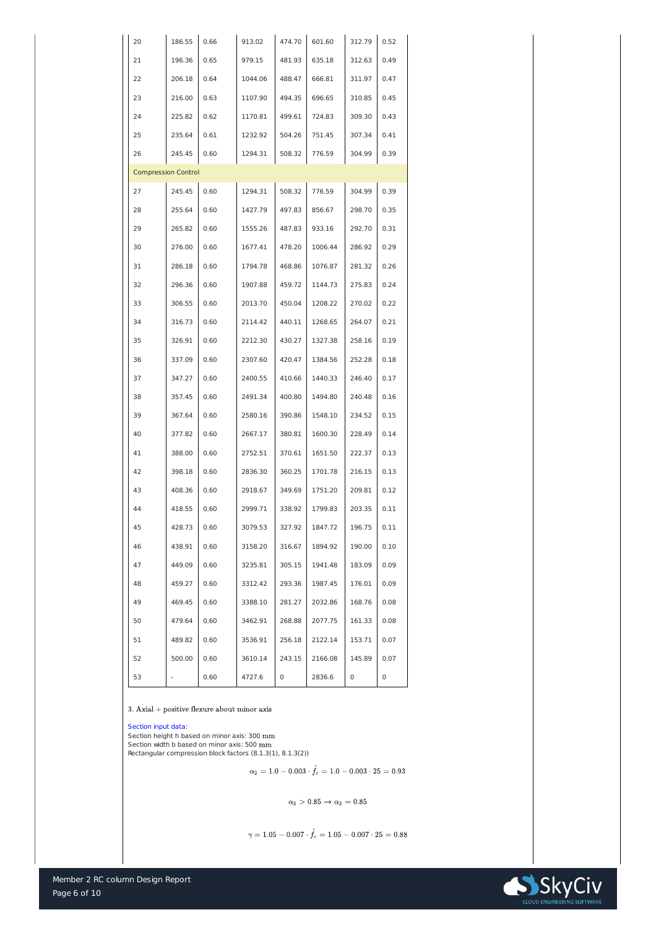

| 20                         | 186.55 | 0.66 | 913.02  | 474.70         | 601.60  | 312.79         | 0.52           |
|----------------------------|--------|------|---------|----------------|---------|----------------|----------------|
| 21                         | 196.36 | 0.65 | 979.15  | 481.93         | 635.18  | 312.63         | 0.49           |
| 22                         | 206.18 | 0.64 | 1044.06 | 488.47         | 666.81  | 311.97         | 0.47           |
| 23                         | 216.00 | 0.63 | 1107.90 | 494.35         | 696.65  | 310.85         | 0.45           |
| 24                         | 225.82 | 0.62 | 1170.81 | 499.61         | 724.83  | 309.30         | 0.43           |
| 25                         | 235.64 | 0.61 | 1232.92 | 504.26         | 751.45  | 307.34         | 0.41           |
| 26                         | 245.45 | 0.60 | 1294.31 | 508.32         | 776.59  | 304.99         | 0.39           |
| <b>Compression Control</b> |        |      |         |                |         |                |                |
| 27                         | 245.45 | 0.60 | 1294.31 | 508.32         | 776.59  | 304.99         | 0.39           |
| 28                         | 255.64 | 0.60 | 1427.79 | 497.83         | 856.67  | 298.70         | 0.35           |
| 29                         | 265.82 | 0.60 | 1555.26 | 487.83         | 933.16  | 292.70         | 0.31           |
| 30                         | 276.00 | 0.60 | 1677.41 | 478.20         | 1006.44 | 286.92         | 0.29           |
| 31                         | 286.18 | 0.60 | 1794.78 | 468.86         | 1076.87 | 281.32         | 0.26           |
| 32                         | 296.36 | 0.60 | 1907.88 | 459.72         | 1144.73 | 275.83         | 0.24           |
| 33                         | 306.55 | 0.60 | 2013.70 | 450.04         | 1208.22 | 270.02         | 0.22           |
| 34                         | 316.73 | 0.60 | 2114.42 | 440.11         | 1268.65 | 264.07         | 0.21           |
| 35                         | 326.91 | 0.60 | 2212.30 | 430.27         | 1327.38 | 258.16         | 0.19           |
| 36                         | 337.09 | 0.60 | 2307.60 | 420.47         | 1384.56 | 252.28         | 0.18           |
| 37                         | 347.27 | 0.60 | 2400.55 | 410.66         | 1440.33 | 246.40         | 0.17           |
| 38                         | 357.45 | 0.60 | 2491.34 | 400.80         | 1494.80 | 240.48         | 0.16           |
| 39                         | 367.64 | 0.60 | 2580.16 | 390.86         | 1548.10 | 234.52         | 0.15           |
| 40                         | 377.82 | 0.60 | 2667.17 | 380.81         | 1600.30 | 228.49         | 0.14           |
| 41                         | 388.00 | 0.60 | 2752.51 | 370.61         | 1651.50 | 222.37         | 0.13           |
| 42                         | 398.18 | 0.60 | 2836.30 | 360.25         | 1701.78 | 216.15         | 0.13           |
| 43                         | 408.36 | 0.60 | 2918.67 | 349.69         | 1751.20 | 209.81         | 0.12           |
| 44                         | 418.55 | 0.60 | 2999.71 | 338.92         | 1799.83 | 203.35         | 0.11           |
| 45                         | 428.73 | 0.60 | 3079.53 | 327.92         | 1847.72 | 196.75         | 0.11           |
| 46                         | 438.91 | 0.60 | 3158.20 | 316.67         | 1894.92 | 190.00         | 0.10           |
| 47                         | 449.09 | 0.60 | 3235.81 | 305.15         | 1941.48 | 183.09         | 0.09           |
| 48                         | 459.27 | 0.60 | 3312.42 | 293.36         | 1987.45 | 176.01         | 0.09           |
| 49                         | 469.45 | 0.60 | 3388.10 | 281.27         | 2032.86 | 168.76         | 0.08           |
| 50                         | 479.64 | 0.60 | 3462.91 | 268.88         | 2077.75 | 161.33         | 0.08           |
| 51                         | 489.82 | 0.60 | 3536.91 | 256.18         | 2122.14 | 153.71         | 0.07           |
| 52                         | 500.00 | 0.60 | 3610.14 | 243.15         | 2166.08 | 145.89         | 0.07           |
| 53                         |        | 0.60 | 4727.6  | $\overline{0}$ | 2836.6  | $\overline{0}$ | $\overline{0}$ |

 $3.$  Axial + positive flexure about minor axis

Section height h based on minor axis: 300 mm Section width b based on minor axis: 500 mm Rectangular compression block factors (8.1.3(1), 8.1.3(2))

 $\alpha_2 = 1.0 - 0.003 \cdot \acute{f_c} = 1.0 - 0.003 \cdot 25 = 0.93$ 

 $\alpha_2 > 0.85 \rightarrow \alpha_2 = 0.85$ 

 $\gamma = 1.05 - 0.007 \cdot \acute{f_c} = 1.05 - 0.007 \cdot 25 = 0.88$ 

## Section input data: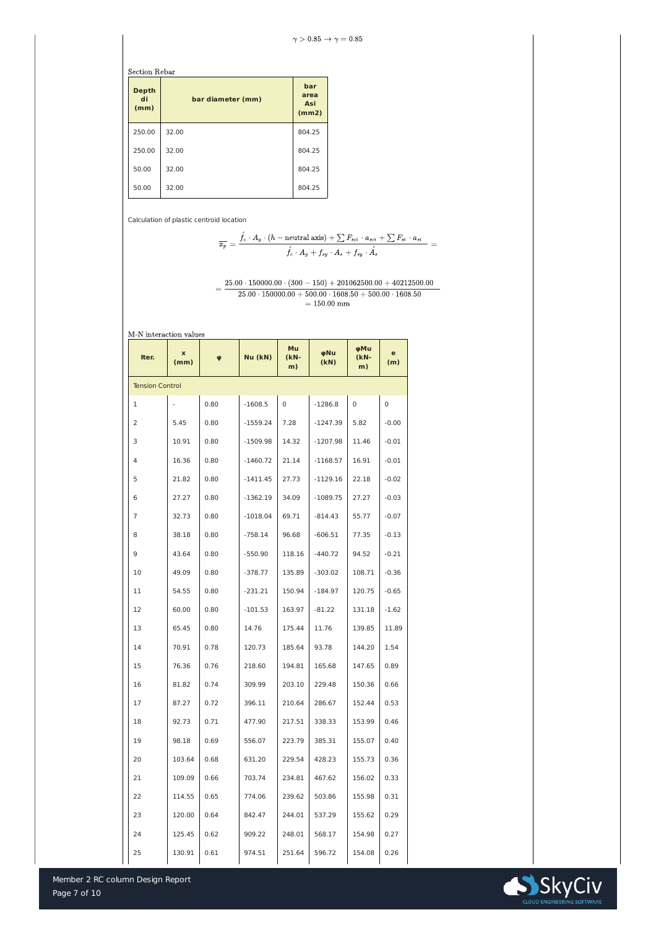## **Section Rebar**

Member 2 RC column Design Report



| <b>Depth</b><br>di<br>(mm) | bar diameter (mm) | bar<br>area<br><b>Asi</b><br>(mm2) |
|----------------------------|-------------------|------------------------------------|
| 250.00                     | 32.00             | 804.25                             |
| 250.00                     | 32.00             | 804.25                             |
| 50.00                      | 32.00             | 804.25                             |
| 50.00                      | 32.00             | 804.25                             |

Calculation of plastic centroid location

$$
\overline{x_p} = \frac{\acute{f_c} \cdot A_g \cdot (h - \text{neutral axis}) + \sum F_{sci} \cdot a_{sci} + \sum F_{si} \cdot a_{si}}{\acute{f_c} \cdot A_g + f_{sy} \cdot A_s + f_{sy} \cdot \acute{A_s}} =
$$

 $25.00\cdot 150000.00\cdot (300-150) + 201062500.00 + 40212500.00$  $= 25.00 \cdot 150000.00 + 500.00 \cdot 1608.50 + 500.00 \cdot 1608.50$  $=150.00\;\mathrm{mm}$ 

M-N interaction values

| Iter.                  | X<br>(mm) | $\boldsymbol{\varphi}$ | Nu (kN)    | Mu<br>$(KN-$<br>m) | φNu<br>(KN) | φMu<br>$(kN-$<br>m) | $\mathbf{e}$<br>(m) |
|------------------------|-----------|------------------------|------------|--------------------|-------------|---------------------|---------------------|
| <b>Tension Control</b> |           |                        |            |                    |             |                     |                     |
| 1                      |           | 0.80                   | $-1608.5$  | $\overline{0}$     | $-1286.8$   | $\overline{0}$      | $\overline{0}$      |
| $\overline{2}$         | 5.45      | 0.80                   | $-1559.24$ | 7.28               | $-1247.39$  | 5.82                | $-0.00$             |
| 3                      | 10.91     | 0.80                   | $-1509.98$ | 14.32              | $-1207.98$  | 11.46               | $-0.01$             |
| $\overline{4}$         | 16.36     | 0.80                   | $-1460.72$ | 21.14              | $-1168.57$  | 16.91               | $-0.01$             |
| 5                      | 21.82     | 0.80                   | $-1411.45$ | 27.73              | $-1129.16$  | 22.18               | $-0.02$             |
| 6                      | 27.27     | 0.80                   | $-1362.19$ | 34.09              | $-1089.75$  | 27.27               | $-0.03$             |
| $\overline{7}$         | 32.73     | 0.80                   | $-1018.04$ | 69.71              | $-814.43$   | 55.77               | $-0.07$             |
| 8                      | 38.18     | 0.80                   | $-758.14$  | 96.68              | $-606.51$   | 77.35               | $-0.13$             |
| 9                      | 43.64     | 0.80                   | $-550.90$  | 118.16             | $-440.72$   | 94.52               | $-0.21$             |
| 10                     | 49.09     | 0.80                   | $-378.77$  | 135.89             | $-303.02$   | 108.71              | $-0.36$             |
| 11                     | 54.55     | 0.80                   | $-231.21$  | 150.94             | $-184.97$   | 120.75              | $-0.65$             |
| 12                     | 60.00     | 0.80                   | $-101.53$  | 163.97             | $-81.22$    | 131.18              | $-1.62$             |
| 13                     | 65.45     | 0.80                   | 14.76      | 175.44             | 11.76       | 139.85              | 11.89               |
| 14                     | 70.91     | 0.78                   | 120.73     | 185.64             | 93.78       | 144.20              | 1.54                |
| 15                     | 76.36     | 0.76                   | 218.60     | 194.81             | 165.68      | 147.65              | 0.89                |
| 16                     | 81.82     | 0.74                   | 309.99     | 203.10             | 229.48      | 150.36              | 0.66                |
| 17                     | 87.27     | 0.72                   | 396.11     | 210.64             | 286.67      | 152.44              | 0.53                |
| 18                     | 92.73     | 0.71                   | 477.90     | 217.51             | 338.33      | 153.99              | 0.46                |
| 19                     | 98.18     | 0.69                   | 556.07     | 223.79             | 385.31      | 155.07              | 0.40                |
| 20                     | 103.64    | 0.68                   | 631.20     | 229.54             | 428.23      | 155.73              | 0.36                |
| 21                     | 109.09    | 0.66                   | 703.74     | 234.81             | 467.62      | 156.02              | 0.33                |
| 22                     | 114.55    | 0.65                   | 774.06     | 239.62             | 503.86      | 155.98              | 0.31                |
| 23                     | 120.00    | 0.64                   | 842.47     | 244.01             | 537.29      | 155.62              | 0.29                |
| 24                     | 125.45    | 0.62                   | 909.22     | 248.01             | 568.17      | 154.98              | 0.27                |
| 25                     | 130.91    | 0.61                   | 974.51     | 251.64             | 596.72      | 154.08              | 0.26                |

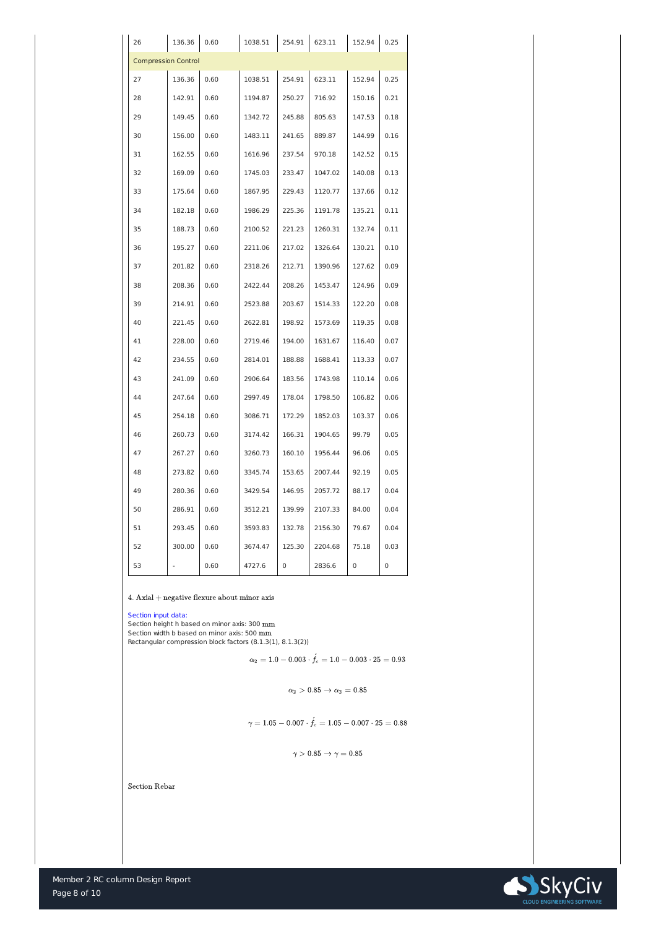

| 26                         | 136.36 | 0.60 | 1038.51 | 254.91         | 623.11  | 152.94         | 0.25        |
|----------------------------|--------|------|---------|----------------|---------|----------------|-------------|
| <b>Compression Control</b> |        |      |         |                |         |                |             |
| 27                         | 136.36 | 0.60 | 1038.51 | 254.91         | 623.11  | 152.94         | 0.25        |
| 28                         | 142.91 | 0.60 | 1194.87 | 250.27         | 716.92  | 150.16         | 0.21        |
| 29                         | 149.45 | 0.60 | 1342.72 | 245.88         | 805.63  | 147.53         | 0.18        |
| 30                         | 156.00 | 0.60 | 1483.11 | 241.65         | 889.87  | 144.99         | 0.16        |
| 31                         | 162.55 | 0.60 | 1616.96 | 237.54         | 970.18  | 142.52         | 0.15        |
| 32                         | 169.09 | 0.60 | 1745.03 | 233.47         | 1047.02 | 140.08         | 0.13        |
| 33                         | 175.64 | 0.60 | 1867.95 | 229.43         | 1120.77 | 137.66         | 0.12        |
| 34                         | 182.18 | 0.60 | 1986.29 | 225.36         | 1191.78 | 135.21         | 0.11        |
| 35                         | 188.73 | 0.60 | 2100.52 | 221.23         | 1260.31 | 132.74         | 0.11        |
| 36                         | 195.27 | 0.60 | 2211.06 | 217.02         | 1326.64 | 130.21         | 0.10        |
| 37                         | 201.82 | 0.60 | 2318.26 | 212.71         | 1390.96 | 127.62         | 0.09        |
| 38                         | 208.36 | 0.60 | 2422.44 | 208.26         | 1453.47 | 124.96         | 0.09        |
| 39                         | 214.91 | 0.60 | 2523.88 | 203.67         | 1514.33 | 122.20         | 0.08        |
| 40                         | 221.45 | 0.60 | 2622.81 | 198.92         | 1573.69 | 119.35         | 0.08        |
| 41                         | 228.00 | 0.60 | 2719.46 | 194.00         | 1631.67 | 116.40         | 0.07        |
| 42                         | 234.55 | 0.60 | 2814.01 | 188.88         | 1688.41 | 113.33         | 0.07        |
| 43                         | 241.09 | 0.60 | 2906.64 | 183.56         | 1743.98 | 110.14         | 0.06        |
| 44                         | 247.64 | 0.60 | 2997.49 | 178.04         | 1798.50 | 106.82         | 0.06        |
| 45                         | 254.18 | 0.60 | 3086.71 | 172.29         | 1852.03 | 103.37         | 0.06        |
| 46                         | 260.73 | 0.60 | 3174.42 | 166.31         | 1904.65 | 99.79          | 0.05        |
| 47                         | 267.27 | 0.60 | 3260.73 | 160.10         | 1956.44 | 96.06          | 0.05        |
| 48                         | 273.82 | 0.60 | 3345.74 | 153.65         | 2007.44 | 92.19          | 0.05        |
| 49                         | 280.36 | 0.60 | 3429.54 | 146.95         | 2057.72 | 88.17          | 0.04        |
| 50                         | 286.91 | 0.60 | 3512.21 | 139.99         | 2107.33 | 84.00          | 0.04        |
| 51                         | 293.45 | 0.60 | 3593.83 | 132.78         | 2156.30 | 79.67          | 0.04        |
| 52                         | 300.00 | 0.60 | 3674.47 | 125.30         | 2204.68 | 75.18          | 0.03        |
| 53                         |        | 0.60 | 4727.6  | $\overline{0}$ | 2836.6  | $\overline{0}$ | $\mathbf 0$ |

 $4.$  Axial  $+$  negative flexure about minor axis  $\,$ 

Section height h based on minor axis: 300 mm Section width b based on minor axis: 500 mm Rectangular compression block factors (8.1.3(1), 8.1.3(2))

$$
\alpha_2=1.0-0.003\cdot \acute{f}_c=1.0-0.003\cdot 25=0.93
$$

 $\alpha_2 > 0.85 \rightarrow \alpha_2 = 0.85$ 

$$
\gamma=1.05-0.007\cdot \acute{f}_c=1.05-0.007\cdot 25=0.88
$$

$$
\gamma > 0.85 \rightarrow \gamma = 0.85
$$

**Section Rebar** 



## Section input data: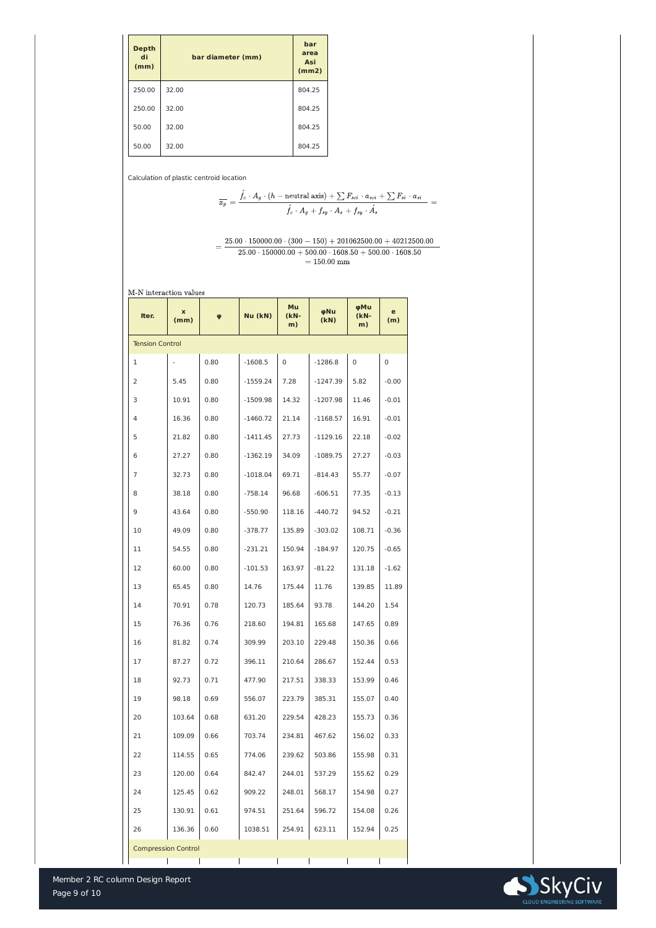Member 2 RC column Design Report



| <b>Depth</b><br>di<br>(mm) | bar diameter (mm) | bar<br>area<br><b>Asi</b><br>(mm2) |
|----------------------------|-------------------|------------------------------------|
| 250.00                     | 32.00             | 804.25                             |
| 250.00                     | 32.00             | 804.25                             |
| 50.00                      | 32.00             | 804.25                             |
| 50.00                      | 32.00             | 804.25                             |

Calculation of plastic centroid location

$$
\overline{x_p} = \frac{\acute{f_c} \cdot A_g \cdot (h - \text{neutral axis}) + \sum F_{sci} \cdot a_{sci} + \sum F_{si} \cdot a_{si}}{\acute{f_c} \cdot A_g + \acute{f_{sy}} \cdot A_s + \acute{f_{sy}} \cdot \acute{A_s}} =
$$

$$
=\frac{25.00\cdot 150000.00\cdot (300-150)+201062500.00+40212500.00}{25.00\cdot 150000.00+500.00\cdot 1608.50+500.00\cdot 1608.50} = 150.00\text{ mm}
$$

M-N interaction values

| Iter.                      | $\mathbf x$<br>(mm) | $\boldsymbol{\varphi}$ | Nu (kN)    | <b>Mu</b><br>$(kN-$<br>m) | φNu<br>(KN) | φMu<br>$(kN-$<br>m) | e<br>(m)       |
|----------------------------|---------------------|------------------------|------------|---------------------------|-------------|---------------------|----------------|
| <b>Tension Control</b>     |                     |                        |            |                           |             |                     |                |
| 1                          |                     | 0.80                   | $-1608.5$  | $\overline{0}$            | $-1286.8$   | $\overline{0}$      | $\overline{0}$ |
| $\overline{2}$             | 5.45                | 0.80                   | $-1559.24$ | 7.28                      | $-1247.39$  | 5.82                | $-0.00$        |
| 3                          | 10.91               | 0.80                   | $-1509.98$ | 14.32                     | $-1207.98$  | 11.46               | $-0.01$        |
| $\overline{4}$             | 16.36               | 0.80                   | $-1460.72$ | 21.14                     | $-1168.57$  | 16.91               | $-0.01$        |
| 5                          | 21.82               | 0.80                   | $-1411.45$ | 27.73                     | $-1129.16$  | 22.18               | $-0.02$        |
| 6                          | 27.27               | 0.80                   | $-1362.19$ | 34.09                     | $-1089.75$  | 27.27               | $-0.03$        |
| 7                          | 32.73               | 0.80                   | $-1018.04$ | 69.71                     | $-814.43$   | 55.77               | $-0.07$        |
| 8                          | 38.18               | 0.80                   | $-758.14$  | 96.68                     | $-606.51$   | 77.35               | $-0.13$        |
| 9                          | 43.64               | 0.80                   | $-550.90$  | 118.16                    | $-440.72$   | 94.52               | $-0.21$        |
| 10                         | 49.09               | 0.80                   | $-378.77$  | 135.89                    | $-303.02$   | 108.71              | $-0.36$        |
| 11                         | 54.55               | 0.80                   | $-231.21$  | 150.94                    | $-184.97$   | 120.75              | $-0.65$        |
| 12                         | 60.00               | 0.80                   | $-101.53$  | 163.97                    | $-81.22$    | 131.18              | $-1.62$        |
| 13                         | 65.45               | 0.80                   | 14.76      | 175.44                    | 11.76       | 139.85              | 11.89          |
| 14                         | 70.91               | 0.78                   | 120.73     | 185.64                    | 93.78       | 144.20              | 1.54           |
| 15                         | 76.36               | 0.76                   | 218.60     | 194.81                    | 165.68      | 147.65              | 0.89           |
| 16                         | 81.82               | 0.74                   | 309.99     | 203.10                    | 229.48      | 150.36              | 0.66           |
| 17                         | 87.27               | 0.72                   | 396.11     | 210.64                    | 286.67      | 152.44              | 0.53           |
| 18                         | 92.73               | 0.71                   | 477.90     | 217.51                    | 338.33      | 153.99              | 0.46           |
| 19                         | 98.18               | 0.69                   | 556.07     | 223.79                    | 385.31      | 155.07              | 0.40           |
| 20                         | 103.64              | 0.68                   | 631.20     | 229.54                    | 428.23      | 155.73              | 0.36           |
| 21                         | 109.09              | 0.66                   | 703.74     | 234.81                    | 467.62      | 156.02              | 0.33           |
| 22                         | 114.55              | 0.65                   | 774.06     | 239.62                    | 503.86      | 155.98              | 0.31           |
| 23                         | 120.00              | 0.64                   | 842.47     | 244.01                    | 537.29      | 155.62              | 0.29           |
| 24                         | 125.45              | 0.62                   | 909.22     | 248.01                    | 568.17      | 154.98              | 0.27           |
| 25                         | 130.91              | 0.61                   | 974.51     | 251.64                    | 596.72      | 154.08              | 0.26           |
| 26                         | 136.36              | 0.60                   | 1038.51    | 254.91                    | 623.11      | 152.94              | 0.25           |
| <b>Compression Control</b> |                     |                        |            |                           |             |                     |                |
|                            |                     |                        |            |                           |             |                     |                |